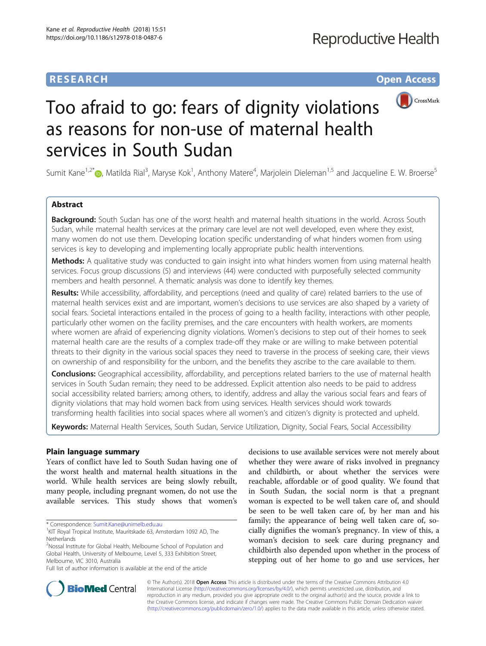# **RESEARCH CHE Open Access**



# Too afraid to go: fears of dignity violations as reasons for non-use of maternal health services in South Sudan

Sumit Kane<sup>1[,](http://orcid.org/0000-0002-4858-7344)2\*</sup>�, Matilda Rial<sup>3</sup>, Maryse Kok<sup>1</sup>, Anthony Matere<sup>4</sup>, Marjolein Dieleman<sup>1,5</sup> and Jacqueline E. W. Broerse<sup>5</sup>

# Abstract

**Background:** South Sudan has one of the worst health and maternal health situations in the world. Across South Sudan, while maternal health services at the primary care level are not well developed, even where they exist, many women do not use them. Developing location specific understanding of what hinders women from using services is key to developing and implementing locally appropriate public health interventions.

Methods: A qualitative study was conducted to gain insight into what hinders women from using maternal health services. Focus group discussions (5) and interviews (44) were conducted with purposefully selected community members and health personnel. A thematic analysis was done to identify key themes.

Results: While accessibility, affordability, and perceptions (need and quality of care) related barriers to the use of maternal health services exist and are important, women's decisions to use services are also shaped by a variety of social fears. Societal interactions entailed in the process of going to a health facility, interactions with other people, particularly other women on the facility premises, and the care encounters with health workers, are moments where women are afraid of experiencing dignity violations. Women's decisions to step out of their homes to seek maternal health care are the results of a complex trade-off they make or are willing to make between potential threats to their dignity in the various social spaces they need to traverse in the process of seeking care, their views on ownership of and responsibility for the unborn, and the benefits they ascribe to the care available to them.

Conclusions: Geographical accessibility, affordability, and perceptions related barriers to the use of maternal health services in South Sudan remain; they need to be addressed. Explicit attention also needs to be paid to address social accessibility related barriers; among others, to identify, address and allay the various social fears and fears of dignity violations that may hold women back from using services. Health services should work towards transforming health facilities into social spaces where all women's and citizen's dignity is protected and upheld.

Keywords: Maternal Health Services, South Sudan, Service Utilization, Dignity, Social Fears, Social Accessibility

# Plain language summary

Years of conflict have led to South Sudan having one of the worst health and maternal health situations in the world. While health services are being slowly rebuilt, many people, including pregnant women, do not use the available services. This study shows that women's

\* Correspondence: [Sumit.Kane@unimelb.edu.au](mailto:Sumit.Kane@unimelb.edu.au) <sup>1</sup>

Full list of author information is available at the end of the article

decisions to use available services were not merely about whether they were aware of risks involved in pregnancy and childbirth, or about whether the services were reachable, affordable or of good quality. We found that in South Sudan, the social norm is that a pregnant woman is expected to be well taken care of, and should be seen to be well taken care of, by her man and his family; the appearance of being well taken care of, socially dignifies the woman's pregnancy. In view of this, a woman's decision to seek care during pregnancy and childbirth also depended upon whether in the process of stepping out of her home to go and use services, her



© The Author(s). 2018 Open Access This article is distributed under the terms of the Creative Commons Attribution 4.0 International License [\(http://creativecommons.org/licenses/by/4.0/](http://creativecommons.org/licenses/by/4.0/)), which permits unrestricted use, distribution, and reproduction in any medium, provided you give appropriate credit to the original author(s) and the source, provide a link to the Creative Commons license, and indicate if changes were made. The Creative Commons Public Domain Dedication waiver [\(http://creativecommons.org/publicdomain/zero/1.0/](http://creativecommons.org/publicdomain/zero/1.0/)) applies to the data made available in this article, unless otherwise stated.

<sup>&</sup>lt;sup>1</sup>KIT Royal Tropical Institute, Mauritskade 63, Amsterdam 1092 AD, The **Netherlands** 

<sup>&</sup>lt;sup>2</sup>Nossal Institute for Global Health, Melbourne School of Population and Global Health, University of Melbourne, Level 5, 333 Exhibition Street, Melbourne, VIC 3010, Australia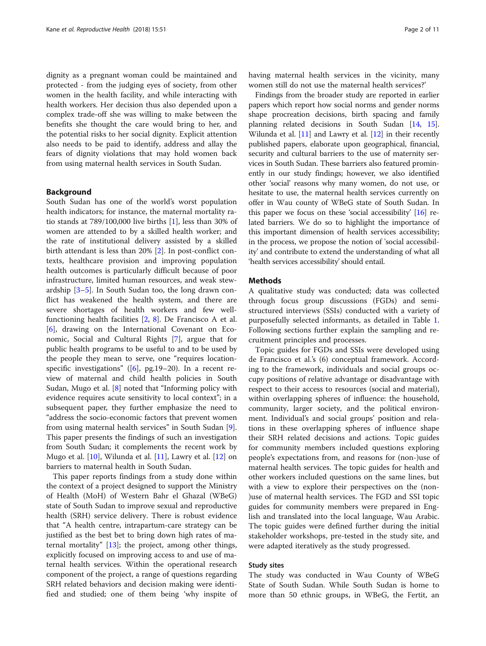dignity as a pregnant woman could be maintained and protected - from the judging eyes of society, from other women in the health facility, and while interacting with health workers. Her decision thus also depended upon a complex trade-off she was willing to make between the benefits she thought the care would bring to her, and the potential risks to her social dignity. Explicit attention also needs to be paid to identify, address and allay the fears of dignity violations that may hold women back from using maternal health services in South Sudan.

# **Background**

South Sudan has one of the world's worst population health indicators; for instance, the maternal mortality ratio stands at 789/100,000 live births [\[1](#page-10-0)], less than 30% of women are attended to by a skilled health worker; and the rate of institutional delivery assisted by a skilled birth attendant is less than 20% [[2\]](#page-10-0). In post-conflict contexts, healthcare provision and improving population health outcomes is particularly difficult because of poor infrastructure, limited human resources, and weak stewardship [\[3](#page-10-0)–[5](#page-10-0)]. In South Sudan too, the long drawn conflict has weakened the health system, and there are severe shortages of health workers and few wellfunctioning health facilities [[2](#page-10-0), [8](#page-10-0)]. De Francisco A et al. [[6\]](#page-10-0), drawing on the International Covenant on Economic, Social and Cultural Rights [[7\]](#page-10-0), argue that for public health programs to be useful to and to be used by the people they mean to serve, one "requires locationspecific investigations" ([\[6](#page-10-0)], pg.19–20). In a recent review of maternal and child health policies in South Sudan, Mugo et al. [[8\]](#page-10-0) noted that "Informing policy with evidence requires acute sensitivity to local context"; in a subsequent paper, they further emphasize the need to "address the socio-economic factors that prevent women from using maternal health services" in South Sudan [\[9](#page-10-0)]. This paper presents the findings of such an investigation from South Sudan; it complements the recent work by Mugo et al.  $[10]$  $[10]$ , Wilunda et al.  $[11]$ , Lawry et al.  $[12]$  $[12]$  on barriers to maternal health in South Sudan.

This paper reports findings from a study done within the context of a project designed to support the Ministry of Health (MoH) of Western Bahr el Ghazal (WBeG) state of South Sudan to improve sexual and reproductive health (SRH) service delivery. There is robust evidence that "A health centre, intrapartum-care strategy can be justified as the best bet to bring down high rates of maternal mortality" [\[13\]](#page-10-0); the project, among other things, explicitly focused on improving access to and use of maternal health services. Within the operational research component of the project, a range of questions regarding SRH related behaviors and decision making were identified and studied; one of them being 'why inspite of having maternal health services in the vicinity, many women still do not use the maternal health services?'

Findings from the broader study are reported in earlier papers which report how social norms and gender norms shape procreation decisions, birth spacing and family planning related decisions in South Sudan [\[14,](#page-10-0) [15](#page-10-0)]. Wilunda et al. [\[11\]](#page-10-0) and Lawry et al. [\[12\]](#page-10-0) in their recently published papers, elaborate upon geographical, financial, security and cultural barriers to the use of maternity services in South Sudan. These barriers also featured prominently in our study findings; however, we also identified other 'social' reasons why many women, do not use, or hesitate to use, the maternal health services currently on offer in Wau county of WBeG state of South Sudan. In this paper we focus on these 'social accessibility'  $[16]$  $[16]$  $[16]$  related barriers. We do so to highlight the importance of this important dimension of health services accessibility; in the process, we propose the notion of 'social accessibility' and contribute to extend the understanding of what all 'health services accessibility' should entail.

# **Methods**

A qualitative study was conducted; data was collected through focus group discussions (FGDs) and semistructured interviews (SSIs) conducted with a variety of purposefully selected informants, as detailed in Table [1](#page-2-0). Following sections further explain the sampling and recruitment principles and processes.

Topic guides for FGDs and SSIs were developed using de Francisco et al.'s (6) conceptual framework. According to the framework, individuals and social groups occupy positions of relative advantage or disadvantage with respect to their access to resources (social and material), within overlapping spheres of influence: the household, community, larger society, and the political environment. Individual's and social groups' position and relations in these overlapping spheres of influence shape their SRH related decisions and actions. Topic guides for community members included questions exploring people's expectations from, and reasons for (non-)use of maternal health services. The topic guides for health and other workers included questions on the same lines, but with a view to explore their perspectives on the (non- )use of maternal health services. The FGD and SSI topic guides for community members were prepared in English and translated into the local language, Wau Arabic. The topic guides were defined further during the initial stakeholder workshops, pre-tested in the study site, and were adapted iteratively as the study progressed.

# Study sites

The study was conducted in Wau County of WBeG State of South Sudan. While South Sudan is home to more than 50 ethnic groups, in WBeG, the Fertit, an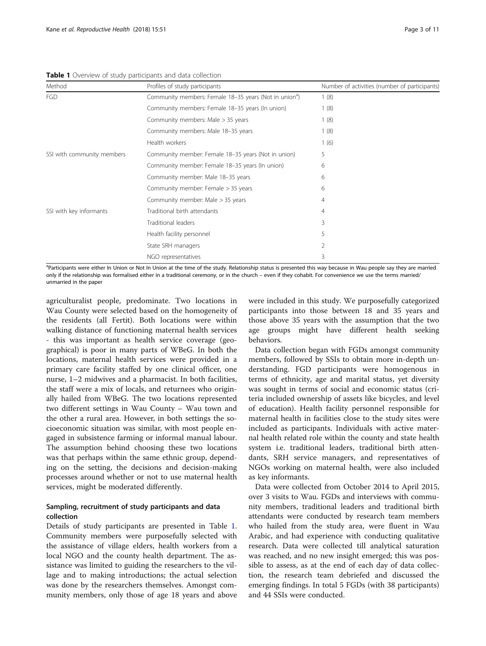<span id="page-2-0"></span>Table 1 Overview of study participants and data collection

| Method                     | Profiles of study participants                                     | Number of activities (number of participants) |
|----------------------------|--------------------------------------------------------------------|-----------------------------------------------|
| <b>FGD</b>                 | Community members: Female 18-35 years (Not in union <sup>a</sup> ) | 1(8)                                          |
|                            | Community members: Female 18-35 years (In union)                   | 1(8)                                          |
|                            | Community members: Male > 35 years                                 | (8)                                           |
|                            | Community members: Male 18-35 years                                | 1(8)                                          |
|                            | Health workers                                                     | 1(6)                                          |
| SSI with community members | Community member: Female 18-35 years (Not in union)                | 5                                             |
|                            | Community member: Female 18-35 years (In union)                    | 6                                             |
|                            | Community member: Male 18-35 years                                 | 6                                             |
|                            | Community member: Female > 35 years                                | 6                                             |
|                            | Community member: Male $>$ 35 years                                | $\overline{4}$                                |
| SSI with key informants    | Traditional birth attendants                                       | 4                                             |
|                            | Traditional leaders                                                | 3                                             |
|                            | Health facility personnel                                          | 5                                             |
|                            | State SRH managers                                                 | 2                                             |
|                            | NGO representatives                                                | 3                                             |

<sup>a</sup>Participants were either In Union or Not In Union at the time of the study. Relationship status is presented this way because in Wau people say they are married only if the relationship was formalised either in a traditional ceremony, or in the church – even if they cohabit. For convenience we use the terms married/ unmarried in the paper

agriculturalist people, predominate. Two locations in Wau County were selected based on the homogeneity of the residents (all Fertit). Both locations were within walking distance of functioning maternal health services - this was important as health service coverage (geographical) is poor in many parts of WBeG. In both the locations, maternal health services were provided in a primary care facility staffed by one clinical officer, one nurse, 1–2 midwives and a pharmacist. In both facilities, the staff were a mix of locals, and returnees who originally hailed from WBeG. The two locations represented two different settings in Wau County – Wau town and the other a rural area. However, in both settings the socioeconomic situation was similar, with most people engaged in subsistence farming or informal manual labour. The assumption behind choosing these two locations was that perhaps within the same ethnic group, depending on the setting, the decisions and decision-making processes around whether or not to use maternal health services, might be moderated differently.

# Sampling, recruitment of study participants and data collection

Details of study participants are presented in Table 1. Community members were purposefully selected with the assistance of village elders, health workers from a local NGO and the county health department. The assistance was limited to guiding the researchers to the village and to making introductions; the actual selection was done by the researchers themselves. Amongst community members, only those of age 18 years and above

were included in this study. We purposefully categorized participants into those between 18 and 35 years and those above 35 years with the assumption that the two age groups might have different health seeking behaviors.

Data collection began with FGDs amongst community members, followed by SSIs to obtain more in-depth understanding. FGD participants were homogenous in terms of ethnicity, age and marital status, yet diversity was sought in terms of social and economic status (criteria included ownership of assets like bicycles, and level of education). Health facility personnel responsible for maternal health in facilities close to the study sites were included as participants. Individuals with active maternal health related role within the county and state health system i.e. traditional leaders, traditional birth attendants, SRH service managers, and representatives of NGOs working on maternal health, were also included as key informants.

Data were collected from October 2014 to April 2015, over 3 visits to Wau. FGDs and interviews with community members, traditional leaders and traditional birth attendants were conducted by research team members who hailed from the study area, were fluent in Wau Arabic, and had experience with conducting qualitative research. Data were collected till analytical saturation was reached, and no new insight emerged; this was possible to assess, as at the end of each day of data collection, the research team debriefed and discussed the emerging findings. In total 5 FGDs (with 38 participants) and 44 SSIs were conducted.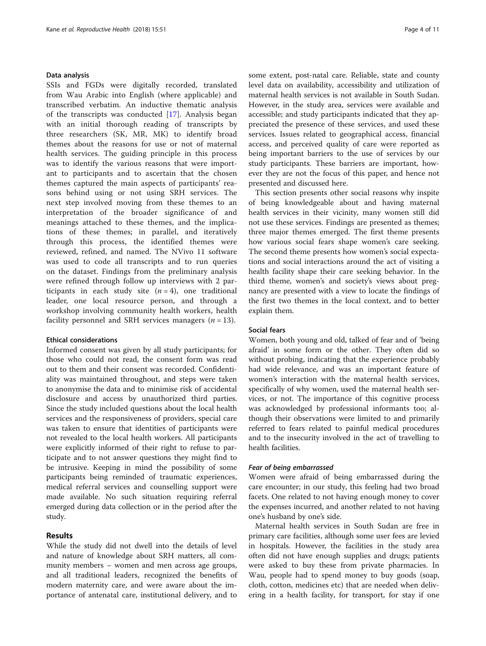#### Data analysis

SSIs and FGDs were digitally recorded, translated from Wau Arabic into English (where applicable) and transcribed verbatim. An inductive thematic analysis of the transcripts was conducted [\[17](#page-10-0)]. Analysis began with an initial thorough reading of transcripts by three researchers (SK, MR, MK) to identify broad themes about the reasons for use or not of maternal health services. The guiding principle in this process was to identify the various reasons that were important to participants and to ascertain that the chosen themes captured the main aspects of participants' reasons behind using or not using SRH services. The next step involved moving from these themes to an interpretation of the broader significance of and meanings attached to these themes, and the implications of these themes; in parallel, and iteratively through this process, the identified themes were reviewed, refined, and named. The NVivo 11 software was used to code all transcripts and to run queries on the dataset. Findings from the preliminary analysis were refined through follow up interviews with 2 participants in each study site  $(n = 4)$ , one traditional leader, one local resource person, and through a workshop involving community health workers, health facility personnel and SRH services managers ( $n = 13$ ).

#### Ethical considerations

Informed consent was given by all study participants; for those who could not read, the consent form was read out to them and their consent was recorded. Confidentiality was maintained throughout, and steps were taken to anonymise the data and to minimise risk of accidental disclosure and access by unauthorized third parties. Since the study included questions about the local health services and the responsiveness of providers, special care was taken to ensure that identities of participants were not revealed to the local health workers. All participants were explicitly informed of their right to refuse to participate and to not answer questions they might find to be intrusive. Keeping in mind the possibility of some participants being reminded of traumatic experiences, medical referral services and counselling support were made available. No such situation requiring referral emerged during data collection or in the period after the study.

# Results

While the study did not dwell into the details of level and nature of knowledge about SRH matters, all community members – women and men across age groups, and all traditional leaders, recognized the benefits of modern maternity care, and were aware about the importance of antenatal care, institutional delivery, and to some extent, post-natal care. Reliable, state and county level data on availability, accessibility and utilization of maternal health services is not available in South Sudan. However, in the study area, services were available and accessible; and study participants indicated that they appreciated the presence of these services, and used these services. Issues related to geographical access, financial access, and perceived quality of care were reported as being important barriers to the use of services by our study participants. These barriers are important, however they are not the focus of this paper, and hence not presented and discussed here.

This section presents other social reasons why inspite of being knowledgeable about and having maternal health services in their vicinity, many women still did not use these services. Findings are presented as themes; three major themes emerged. The first theme presents how various social fears shape women's care seeking. The second theme presents how women's social expectations and social interactions around the act of visiting a health facility shape their care seeking behavior. In the third theme, women's and society's views about pregnancy are presented with a view to locate the findings of the first two themes in the local context, and to better explain them.

# Social fears

Women, both young and old, talked of fear and of 'being afraid' in some form or the other. They often did so without probing, indicating that the experience probably had wide relevance, and was an important feature of women's interaction with the maternal health services, specifically of why women, used the maternal health services, or not. The importance of this cognitive process was acknowledged by professional informants too; although their observations were limited to and primarily referred to fears related to painful medical procedures and to the insecurity involved in the act of travelling to health facilities.

## Fear of being embarrassed

Women were afraid of being embarrassed during the care encounter; in our study, this feeling had two broad facets. One related to not having enough money to cover the expenses incurred, and another related to not having one's husband by one's side.

Maternal health services in South Sudan are free in primary care facilities, although some user fees are levied in hospitals. However, the facilities in the study area often did not have enough supplies and drugs; patients were asked to buy these from private pharmacies. In Wau, people had to spend money to buy goods (soap, cloth, cotton, medicines etc) that are needed when delivering in a health facility, for transport, for stay if one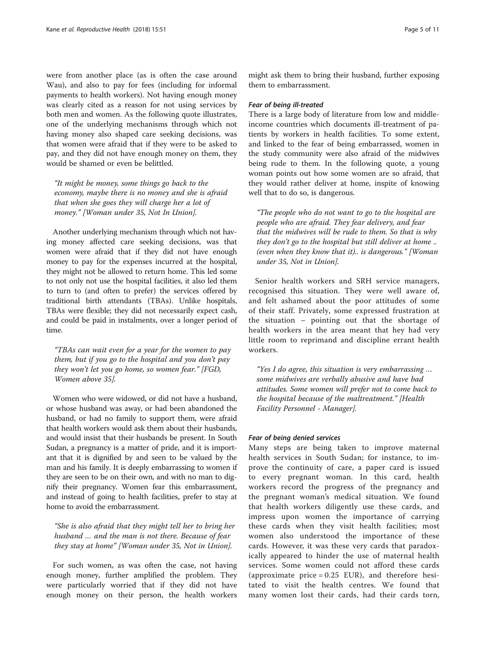were from another place (as is often the case around Wau), and also to pay for fees (including for informal payments to health workers). Not having enough money was clearly cited as a reason for not using services by both men and women. As the following quote illustrates, one of the underlying mechanisms through which not having money also shaped care seeking decisions, was that women were afraid that if they were to be asked to pay, and they did not have enough money on them, they would be shamed or even be belittled.

"It might be money, some things go back to the economy, maybe there is no money and she is afraid that when she goes they will charge her a lot of money." [Woman under 35, Not In Union].

Another underlying mechanism through which not having money affected care seeking decisions, was that women were afraid that if they did not have enough money to pay for the expenses incurred at the hospital, they might not be allowed to return home. This led some to not only not use the hospital facilities, it also led them to turn to (and often to prefer) the services offered by traditional birth attendants (TBAs). Unlike hospitals, TBAs were flexible; they did not necessarily expect cash, and could be paid in instalments, over a longer period of time.

"TBAs can wait even for a year for the women to pay them, but if you go to the hospital and you don't pay they won't let you go home, so women fear." [FGD, Women above 35].

Women who were widowed, or did not have a husband, or whose husband was away, or had been abandoned the husband, or had no family to support them, were afraid that health workers would ask them about their husbands, and would insist that their husbands be present. In South Sudan, a pregnancy is a matter of pride, and it is important that it is dignified by and seen to be valued by the man and his family. It is deeply embarrassing to women if they are seen to be on their own, and with no man to dignify their pregnancy. Women fear this embarrassment, and instead of going to health facilities, prefer to stay at home to avoid the embarrassment.

"She is also afraid that they might tell her to bring her husband … and the man is not there. Because of fear they stay at home" [Woman under 35, Not in Union].

For such women, as was often the case, not having enough money, further amplified the problem. They were particularly worried that if they did not have enough money on their person, the health workers might ask them to bring their husband, further exposing them to embarrassment.

## Fear of being ill-treated

There is a large body of literature from low and middleincome countries which documents ill-treatment of patients by workers in health facilities. To some extent, and linked to the fear of being embarrassed, women in the study community were also afraid of the midwives being rude to them. In the following quote, a young woman points out how some women are so afraid, that they would rather deliver at home, inspite of knowing well that to do so, is dangerous.

"The people who do not want to go to the hospital are people who are afraid. They fear delivery, and fear that the midwives will be rude to them. So that is why they don't go to the hospital but still deliver at home .. (even when they know that it).. is dangerous." [Woman under 35, Not in Union].

Senior health workers and SRH service managers, recognised this situation. They were well aware of, and felt ashamed about the poor attitudes of some of their staff. Privately, some expressed frustration at the situation – pointing out that the shortage of health workers in the area meant that hey had very little room to reprimand and discipline errant health workers.

"Yes I do agree, this situation is very embarrassing … some midwives are verbally abusive and have bad attitudes. Some women will prefer not to come back to the hospital because of the maltreatment." [Health Facility Personnel - Manager].

# Fear of being denied services

Many steps are being taken to improve maternal health services in South Sudan; for instance, to improve the continuity of care, a paper card is issued to every pregnant woman. In this card, health workers record the progress of the pregnancy and the pregnant woman's medical situation. We found that health workers diligently use these cards, and impress upon women the importance of carrying these cards when they visit health facilities; most women also understood the importance of these cards. However, it was these very cards that paradoxically appeared to hinder the use of maternal health services. Some women could not afford these cards (approximate price  $= 0.25$  EUR), and therefore hesitated to visit the health centres. We found that many women lost their cards, had their cards torn,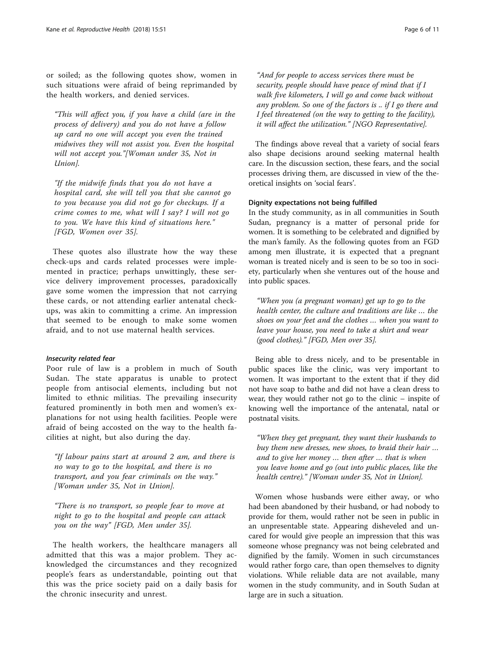or soiled; as the following quotes show, women in such situations were afraid of being reprimanded by the health workers, and denied services.

"This will affect you, if you have a child (are in the process of delivery) and you do not have a follow up card no one will accept you even the trained midwives they will not assist you. Even the hospital will not accept you."[Woman under 35, Not in Union].

"If the midwife finds that you do not have a hospital card, she will tell you that she cannot go to you because you did not go for checkups. If a crime comes to me, what will I say? I will not go to you. We have this kind of situations here." [FGD, Women over 35].

These quotes also illustrate how the way these check-ups and cards related processes were implemented in practice; perhaps unwittingly, these service delivery improvement processes, paradoxically gave some women the impression that not carrying these cards, or not attending earlier antenatal checkups, was akin to committing a crime. An impression that seemed to be enough to make some women afraid, and to not use maternal health services.

# Insecurity related fear

Poor rule of law is a problem in much of South Sudan. The state apparatus is unable to protect people from antisocial elements, including but not limited to ethnic militias. The prevailing insecurity featured prominently in both men and women's explanations for not using health facilities. People were afraid of being accosted on the way to the health facilities at night, but also during the day.

"If labour pains start at around 2 am, and there is no way to go to the hospital, and there is no transport, and you fear criminals on the way." [Woman under 35, Not in Union].

"There is no transport, so people fear to move at night to go to the hospital and people can attack you on the way" [FGD, Men under 35].

The health workers, the healthcare managers all admitted that this was a major problem. They acknowledged the circumstances and they recognized people's fears as understandable, pointing out that this was the price society paid on a daily basis for the chronic insecurity and unrest.

"And for people to access services there must be security, people should have peace of mind that if I walk five kilometers, I will go and come back without any problem. So one of the factors is .. if I go there and I feel threatened (on the way to getting to the facility), it will affect the utilization." [NGO Representative].

The findings above reveal that a variety of social fears also shape decisions around seeking maternal health care. In the discussion section, these fears, and the social processes driving them, are discussed in view of the theoretical insights on 'social fears'.

#### Dignity expectations not being fulfilled

In the study community, as in all communities in South Sudan, pregnancy is a matter of personal pride for women. It is something to be celebrated and dignified by the man's family. As the following quotes from an FGD among men illustrate, it is expected that a pregnant woman is treated nicely and is seen to be so too in society, particularly when she ventures out of the house and into public spaces.

"When you (a pregnant woman) get up to go to the health center, the culture and traditions are like … the shoes on your feet and the clothes … when you want to leave your house, you need to take a shirt and wear (good clothes)." [FGD, Men over 35].

Being able to dress nicely, and to be presentable in public spaces like the clinic, was very important to women. It was important to the extent that if they did not have soap to bathe and did not have a clean dress to wear, they would rather not go to the clinic – inspite of knowing well the importance of the antenatal, natal or postnatal visits.

"When they get pregnant, they want their husbands to buy them new dresses, new shoes, to braid their hair … and to give her money … then after … that is when you leave home and go (out into public places, like the health centre)." [Woman under 35, Not in Union].

Women whose husbands were either away, or who had been abandoned by their husband, or had nobody to provide for them, would rather not be seen in public in an unpresentable state. Appearing disheveled and uncared for would give people an impression that this was someone whose pregnancy was not being celebrated and dignified by the family. Women in such circumstances would rather forgo care, than open themselves to dignity violations. While reliable data are not available, many women in the study community, and in South Sudan at large are in such a situation.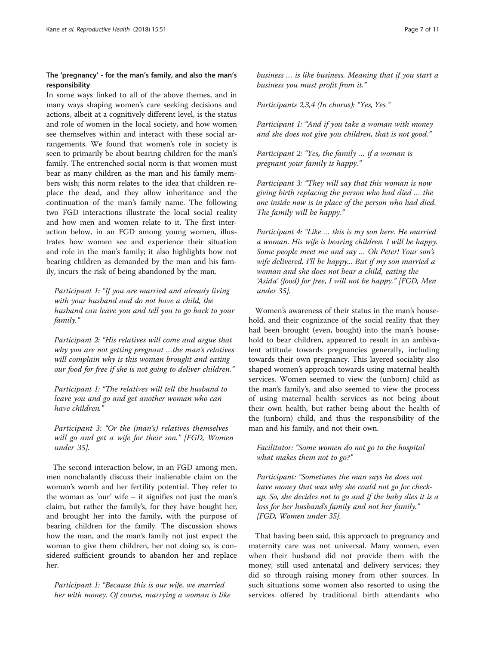# The 'pregnancy' - for the man's family, and also the man's responsibility

In some ways linked to all of the above themes, and in many ways shaping women's care seeking decisions and actions, albeit at a cognitively different level, is the status and role of women in the local society, and how women see themselves within and interact with these social arrangements. We found that women's role in society is seen to primarily be about bearing children for the man's family. The entrenched social norm is that women must bear as many children as the man and his family members wish; this norm relates to the idea that children replace the dead, and they allow inheritance and the continuation of the man's family name. The following two FGD interactions illustrate the local social reality and how men and women relate to it. The first interaction below, in an FGD among young women, illustrates how women see and experience their situation and role in the man's family; it also highlights how not bearing children as demanded by the man and his family, incurs the risk of being abandoned by the man.

Participant 1: "If you are married and already living with your husband and do not have a child, the husband can leave you and tell you to go back to your family."

Participant 2: "His relatives will come and argue that why you are not getting pregnant …the man's relatives will complain why is this woman brought and eating our food for free if she is not going to deliver children."

Participant 1: "The relatives will tell the husband to leave you and go and get another woman who can have children."

Participant 3: "Or the (man's) relatives themselves will go and get a wife for their son." [FGD, Women under 35].

The second interaction below, in an FGD among men, men nonchalantly discuss their inalienable claim on the woman's womb and her fertility potential. They refer to the woman as 'our' wife  $-$  it signifies not just the man's claim, but rather the family's, for they have bought her, and brought her into the family, with the purpose of bearing children for the family. The discussion shows how the man, and the man's family not just expect the woman to give them children, her not doing so, is considered sufficient grounds to abandon her and replace her.

Participant 1: "Because this is our wife, we married her with money. Of course, marrying a woman is like business … is like business. Meaning that if you start a business you must profit from it."

Participants 2,3,4 (In chorus): "Yes, Yes."

Participant 1: "And if you take a woman with money and she does not give you children, that is not good."

Participant 2: "Yes, the family … if a woman is pregnant your family is happy."

Participant 3: "They will say that this woman is now giving birth replacing the person who had died … the one inside now is in place of the person who had died. The family will be happy."

Participant 4: "Like … this is my son here. He married a woman. His wife is bearing children. I will be happy. Some people meet me and say … Oh Peter! Your son's wife delivered. I'll be happy... But if my son married a woman and she does not bear a child, eating the 'Asida' (food) for free, I will not be happy." [FGD, Men under 35].

Women's awareness of their status in the man's household, and their cognizance of the social reality that they had been brought (even, bought) into the man's household to bear children, appeared to result in an ambivalent attitude towards pregnancies generally, including towards their own pregnancy. This layered sociality also shaped women's approach towards using maternal health services. Women seemed to view the (unborn) child as the man's family's, and also seemed to view the process of using maternal health services as not being about their own health, but rather being about the health of the (unborn) child, and thus the responsibility of the man and his family, and not their own.

Facilitator: "Some women do not go to the hospital what makes them not to go?"

Participant: "Sometimes the man says he does not have money that was why she could not go for checkup. So, she decides not to go and if the baby dies it is a loss for her husband's family and not her family." [FGD, Women under 35].

That having been said, this approach to pregnancy and maternity care was not universal. Many women, even when their husband did not provide them with the money, still used antenatal and delivery services; they did so through raising money from other sources. In such situations some women also resorted to using the services offered by traditional birth attendants who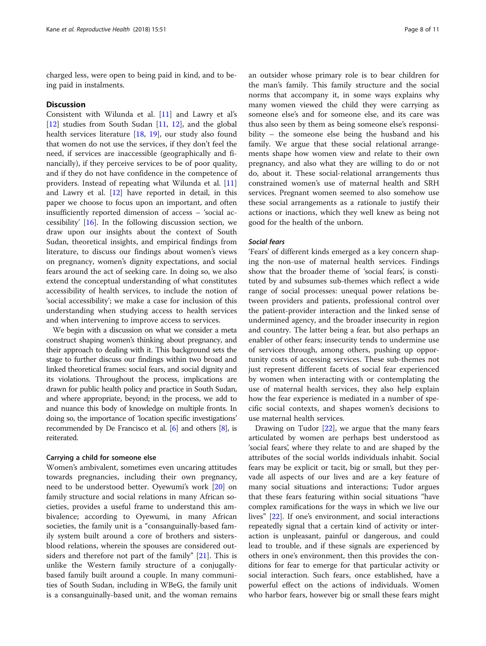charged less, were open to being paid in kind, and to being paid in instalments.

#### **Discussion**

Consistent with Wilunda et al. [\[11\]](#page-10-0) and Lawry et al's [[12\]](#page-10-0) studies from South Sudan  $[11, 12]$  $[11, 12]$  $[11, 12]$  $[11, 12]$ , and the global health services literature [[18,](#page-10-0) [19\]](#page-10-0), our study also found that women do not use the services, if they don't feel the need, if services are inaccessible (geographically and financially), if they perceive services to be of poor quality, and if they do not have confidence in the competence of providers. Instead of repeating what Wilunda et al. [[11](#page-10-0)] and Lawry et al.  $[12]$  $[12]$  $[12]$  have reported in detail, in this paper we choose to focus upon an important, and often insufficiently reported dimension of access – 'social accessibility' [\[16](#page-10-0)]. In the following discussion section, we draw upon our insights about the context of South Sudan, theoretical insights, and empirical findings from literature, to discuss our findings about women's views on pregnancy, women's dignity expectations, and social fears around the act of seeking care. In doing so, we also extend the conceptual understanding of what constitutes accessibility of health services, to include the notion of 'social accessibility'; we make a case for inclusion of this understanding when studying access to health services and when intervening to improve access to services.

We begin with a discussion on what we consider a meta construct shaping women's thinking about pregnancy, and their approach to dealing with it. This background sets the stage to further discuss our findings within two broad and linked theoretical frames: social fears, and social dignity and its violations. Throughout the process, implications are drawn for public health policy and practice in South Sudan, and where appropriate, beyond; in the process, we add to and nuance this body of knowledge on multiple fronts. In doing so, the importance of 'location specific investigations' recommended by De Francisco et al. [\[6\]](#page-10-0) and others [\[8\]](#page-10-0), is reiterated.

#### Carrying a child for someone else

Women's ambivalent, sometimes even uncaring attitudes towards pregnancies, including their own pregnancy, need to be understood better. Oyewumi's work [[20\]](#page-10-0) on family structure and social relations in many African societies, provides a useful frame to understand this ambivalence; according to Oyewumi, in many African societies, the family unit is a "consanguinally-based family system built around a core of brothers and sistersblood relations, wherein the spouses are considered outsiders and therefore not part of the family" [[21\]](#page-10-0). This is unlike the Western family structure of a conjugallybased family built around a couple. In many communities of South Sudan, including in WBeG, the family unit is a consanguinally-based unit, and the woman remains an outsider whose primary role is to bear children for the man's family. This family structure and the social norms that accompany it, in some ways explains why many women viewed the child they were carrying as someone else's and for someone else, and its care was thus also seen by them as being someone else's responsibility – the someone else being the husband and his family. We argue that these social relational arrangements shape how women view and relate to their own pregnancy, and also what they are willing to do or not do, about it. These social-relational arrangements thus constrained women's use of maternal health and SRH services. Pregnant women seemed to also somehow use these social arrangements as a rationale to justify their actions or inactions, which they well knew as being not good for the health of the unborn.

#### Social fears

'Fears' of different kinds emerged as a key concern shaping the non-use of maternal health services. Findings show that the broader theme of 'social fears', is constituted by and subsumes sub-themes which reflect a wide range of social processes: unequal power relations between providers and patients, professional control over the patient-provider interaction and the linked sense of undermined agency, and the broader insecurity in region and country. The latter being a fear, but also perhaps an enabler of other fears; insecurity tends to undermine use of services through, among others, pushing up opportunity costs of accessing services. These sub-themes not just represent different facets of social fear experienced by women when interacting with or contemplating the use of maternal health services, they also help explain how the fear experience is mediated in a number of specific social contexts, and shapes women's decisions to use maternal health services.

Drawing on Tudor  $[22]$  $[22]$ , we argue that the many fears articulated by women are perhaps best understood as 'social fears', where they relate to and are shaped by the attributes of the social worlds individuals inhabit. Social fears may be explicit or tacit, big or small, but they pervade all aspects of our lives and are a key feature of many social situations and interactions; Tudor argues that these fears featuring within social situations "have complex ramifications for the ways in which we live our lives" [\[22](#page-10-0)]. If one's environment, and social interactions repeatedly signal that a certain kind of activity or interaction is unpleasant, painful or dangerous, and could lead to trouble, and if these signals are experienced by others in one's environment, then this provides the conditions for fear to emerge for that particular activity or social interaction. Such fears, once established, have a powerful effect on the actions of individuals. Women who harbor fears, however big or small these fears might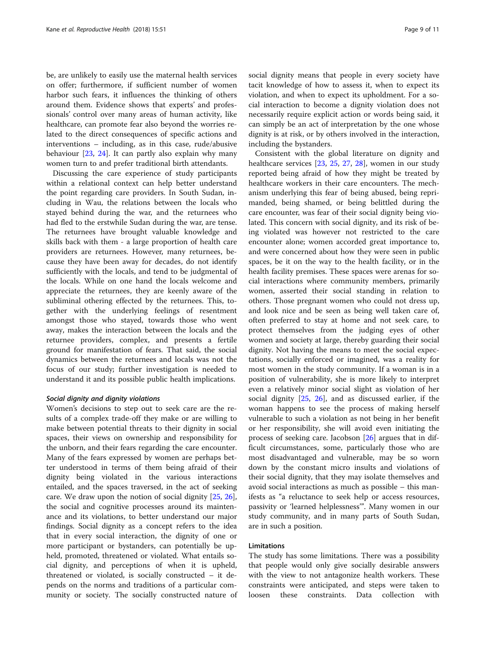be, are unlikely to easily use the maternal health services on offer; furthermore, if sufficient number of women harbor such fears, it influences the thinking of others around them. Evidence shows that experts' and professionals' control over many areas of human activity, like healthcare, can promote fear also beyond the worries related to the direct consequences of specific actions and interventions – including, as in this case, rude/abusive behaviour [\[23,](#page-10-0) [24\]](#page-10-0). It can partly also explain why many women turn to and prefer traditional birth attendants.

Discussing the care experience of study participants within a relational context can help better understand the point regarding care providers. In South Sudan, including in Wau, the relations between the locals who stayed behind during the war, and the returnees who had fled to the erstwhile Sudan during the war, are tense. The returnees have brought valuable knowledge and skills back with them - a large proportion of health care providers are returnees. However, many returnees, because they have been away for decades, do not identify sufficiently with the locals, and tend to be judgmental of the locals. While on one hand the locals welcome and appreciate the returnees, they are keenly aware of the subliminal othering effected by the returnees. This, together with the underlying feelings of resentment amongst those who stayed, towards those who went away, makes the interaction between the locals and the returnee providers, complex, and presents a fertile ground for manifestation of fears. That said, the social dynamics between the returnees and locals was not the focus of our study; further investigation is needed to understand it and its possible public health implications.

#### Social dignity and dignity violations

Women's decisions to step out to seek care are the results of a complex trade-off they make or are willing to make between potential threats to their dignity in social spaces, their views on ownership and responsibility for the unborn, and their fears regarding the care encounter. Many of the fears expressed by women are perhaps better understood in terms of them being afraid of their dignity being violated in the various interactions entailed, and the spaces traversed, in the act of seeking care. We draw upon the notion of social dignity [\[25](#page-10-0), [26](#page-10-0)], the social and cognitive processes around its maintenance and its violations, to better understand our major findings. Social dignity as a concept refers to the idea that in every social interaction, the dignity of one or more participant or bystanders, can potentially be upheld, promoted, threatened or violated. What entails social dignity, and perceptions of when it is upheld, threatened or violated, is socially constructed – it depends on the norms and traditions of a particular community or society. The socially constructed nature of social dignity means that people in every society have tacit knowledge of how to assess it, when to expect its violation, and when to expect its upholdment. For a social interaction to become a dignity violation does not necessarily require explicit action or words being said, it can simply be an act of interpretation by the one whose dignity is at risk, or by others involved in the interaction, including the bystanders.

Consistent with the global literature on dignity and healthcare services [[23,](#page-10-0) [25](#page-10-0), [27,](#page-10-0) [28](#page-10-0)], women in our study reported being afraid of how they might be treated by healthcare workers in their care encounters. The mechanism underlying this fear of being abused, being reprimanded, being shamed, or being belittled during the care encounter, was fear of their social dignity being violated. This concern with social dignity, and its risk of being violated was however not restricted to the care encounter alone; women accorded great importance to, and were concerned about how they were seen in public spaces, be it on the way to the health facility, or in the health facility premises. These spaces were arenas for social interactions where community members, primarily women, asserted their social standing in relation to others. Those pregnant women who could not dress up, and look nice and be seen as being well taken care of, often preferred to stay at home and not seek care, to protect themselves from the judging eyes of other women and society at large, thereby guarding their social dignity. Not having the means to meet the social expectations, socially enforced or imagined, was a reality for most women in the study community. If a woman is in a position of vulnerability, she is more likely to interpret even a relatively minor social slight as violation of her social dignity [[25,](#page-10-0) [26\]](#page-10-0), and as discussed earlier, if the woman happens to see the process of making herself vulnerable to such a violation as not being in her benefit or her responsibility, she will avoid even initiating the process of seeking care. Jacobson [\[26\]](#page-10-0) argues that in difficult circumstances, some, particularly those who are most disadvantaged and vulnerable, may be so worn down by the constant micro insults and violations of their social dignity, that they may isolate themselves and avoid social interactions as much as possible – this manifests as "a reluctance to seek help or access resources, passivity or 'learned helplessness'". Many women in our study community, and in many parts of South Sudan, are in such a position.

# Limitations

The study has some limitations. There was a possibility that people would only give socially desirable answers with the view to not antagonize health workers. These constraints were anticipated, and steps were taken to loosen these constraints. Data collection with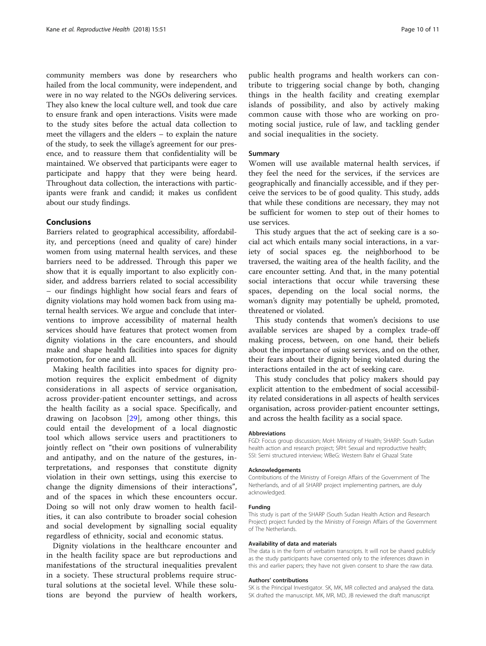community members was done by researchers who hailed from the local community, were independent, and were in no way related to the NGOs delivering services. They also knew the local culture well, and took due care to ensure frank and open interactions. Visits were made to the study sites before the actual data collection to meet the villagers and the elders – to explain the nature of the study, to seek the village's agreement for our presence, and to reassure them that confidentiality will be maintained. We observed that participants were eager to participate and happy that they were being heard. Throughout data collection, the interactions with participants were frank and candid; it makes us confident about our study findings.

## Conclusions

Barriers related to geographical accessibility, affordability, and perceptions (need and quality of care) hinder women from using maternal health services, and these barriers need to be addressed. Through this paper we show that it is equally important to also explicitly consider, and address barriers related to social accessibility – our findings highlight how social fears and fears of dignity violations may hold women back from using maternal health services. We argue and conclude that interventions to improve accessibility of maternal health services should have features that protect women from dignity violations in the care encounters, and should make and shape health facilities into spaces for dignity promotion, for one and all.

Making health facilities into spaces for dignity promotion requires the explicit embedment of dignity considerations in all aspects of service organisation, across provider-patient encounter settings, and across the health facility as a social space. Specifically, and drawing on Jacobson [[29](#page-10-0)], among other things, this could entail the development of a local diagnostic tool which allows service users and practitioners to jointly reflect on "their own positions of vulnerability and antipathy, and on the nature of the gestures, interpretations, and responses that constitute dignity violation in their own settings, using this exercise to change the dignity dimensions of their interactions", and of the spaces in which these encounters occur. Doing so will not only draw women to health facilities, it can also contribute to broader social cohesion and social development by signalling social equality regardless of ethnicity, social and economic status.

Dignity violations in the healthcare encounter and in the health facility space are but reproductions and manifestations of the structural inequalities prevalent in a society. These structural problems require structural solutions at the societal level. While these solutions are beyond the purview of health workers,

public health programs and health workers can contribute to triggering social change by both, changing things in the health facility and creating exemplar islands of possibility, and also by actively making common cause with those who are working on promoting social justice, rule of law, and tackling gender and social inequalities in the society.

#### Summary

Women will use available maternal health services, if they feel the need for the services, if the services are geographically and financially accessible, and if they perceive the services to be of good quality. This study, adds that while these conditions are necessary, they may not be sufficient for women to step out of their homes to use services.

This study argues that the act of seeking care is a social act which entails many social interactions, in a variety of social spaces eg. the neighborhood to be traversed, the waiting area of the health facility, and the care encounter setting. And that, in the many potential social interactions that occur while traversing these spaces, depending on the local social norms, the woman's dignity may potentially be upheld, promoted, threatened or violated.

This study contends that women's decisions to use available services are shaped by a complex trade-off making process, between, on one hand, their beliefs about the importance of using services, and on the other, their fears about their dignity being violated during the interactions entailed in the act of seeking care.

This study concludes that policy makers should pay explicit attention to the embedment of social accessibility related considerations in all aspects of health services organisation, across provider-patient encounter settings, and across the health facility as a social space.

#### Abbreviations

FGD: Focus group discussion; MoH: Ministry of Health; SHARP: South Sudan health action and research project; SRH: Sexual and reproductive health; SSI: Semi structured interview; WBeG: Western Bahr el Ghazal State

#### Acknowledgements

Contributions of the Ministry of Foreign Affairs of the Government of The Netherlands, and of all SHARP project implementing partners, are duly acknowledged.

#### Funding

This study is part of the SHARP (South Sudan Health Action and Research Project) project funded by the Ministry of Foreign Affairs of the Government of The Netherlands.

#### Availability of data and materials

The data is in the form of verbatim transcripts. It will not be shared publicly as the study participants have consented only to the inferences drawn in this and earlier papers; they have not given consent to share the raw data.

#### Authors' contributions

SK is the Principal Investigator. SK, MK, MR collected and analysed the data. SK drafted the manuscript. MK, MR, MD, JB reviewed the draft manuscript